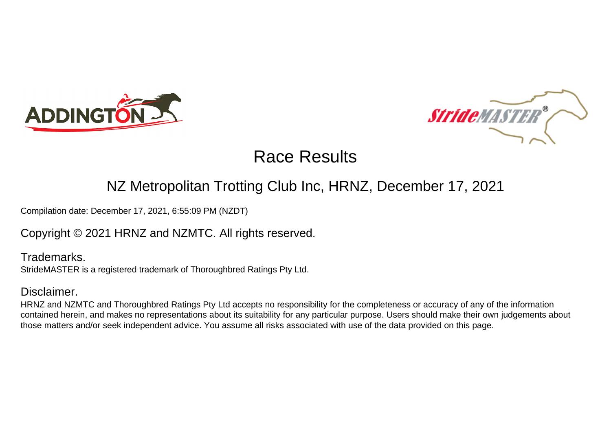



#### NZ Metropolitan Trotting Club Inc, HRNZ, December 17, 2021

Compilation date: December 17, 2021, 6:55:09 PM (NZDT)

Copyright © 2021 HRNZ and NZMTC. All rights reserved.

Trademarks. StrideMASTER is a registered trademark of Thoroughbred Ratings Pty Ltd.

#### Disclaimer.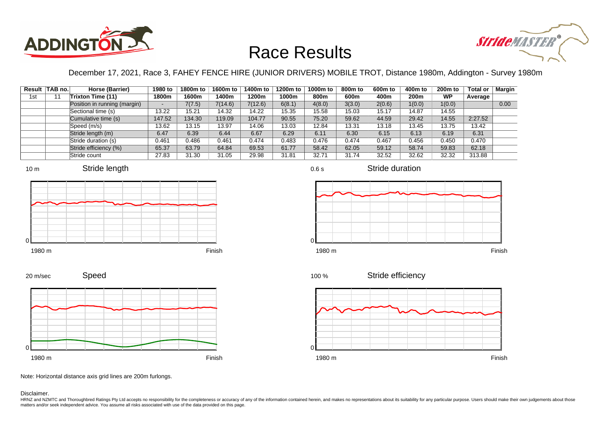



December 17, 2021, Race 3, FAHEY FENCE HIRE (JUNIOR DRIVERS) MOBILE TROT, Distance 1980m, Addington - Survey 1980m

|     | Result TAB no. | Horse (Barrier)              | 1980 to | 1800m to | 1600m to | 1400m to | 1200m to | 1000m to | 800m to | 600 <sub>m</sub> to | 400m to | 200 <sub>m</sub> to | <b>Total or</b> | Margin |
|-----|----------------|------------------------------|---------|----------|----------|----------|----------|----------|---------|---------------------|---------|---------------------|-----------------|--------|
| 1st |                | Trixton Time (11)            | 1800m   | 1600m    | 1400m    | 1200m    | 1000m    | 800m     | 600m    | 400m                | 200m    | WP                  | Average         |        |
|     |                | Position in running (margin) |         | 7(7.5)   | 7(14.6)  | 7(12.6)  | 6(8.1)   | 4(8.0)   | 3(3.0)  | 2(0.6)              | 1(0.0)  | 1(0.0)              |                 | 0.00   |
|     |                | Sectional time (s)           | 13.22   | 15.21    | 14.32    | 14.22    | 15.35    | 15.58    | 15.03   | 15.17               | 14.87   | 14.55               |                 |        |
|     |                | Cumulative time (s)          | 147.52  | 134.30   | 119.09   | 104.77   | 90.55    | 75.20    | 59.62   | 44.59               | 29.42   | 14.55               | 2:27.52         |        |
|     |                | Speed (m/s)                  | 13.62   | 13.15    | 13.97    | 14.06    | 13.03    | 12.84    | 13.31   | 13.18               | 13.45   | 13.75               | 13.42           |        |
|     |                | Stride length (m)            | 6.47    | 6.39     | 6.44     | 6.67     | 6.29     | 6.11     | 6.30    | 6.15                | 6.13    | 6.19                | 6.31            |        |
|     |                | Stride duration (s)          | 0.461   | 0.486    | 0.461    | 0.474    | 0.483    | 0.476    | 0.474   | 0.467               | 0.456   | 0.450               | 0.470           |        |
|     |                | Stride efficiency (%)        | 65.37   | 63.79    | 64.84    | 69.53    | 61.77    | 58.42    | 62.05   | 59.12               | 58.74   | 59.83               | 62.18           |        |
|     |                | Stride count                 | 27.83   | 31.30    | 31.05    | 29.98    | 31.81    | 32.71    | 31.74   | 32.52               | 32.62   | 32.32               | 313.88          |        |









Stride duration





0.6 s

Stride efficiency 100 %



Speed 20 m/sec



Note: Horizontal distance axis grid lines are 200m furlongs.

Disclaimer.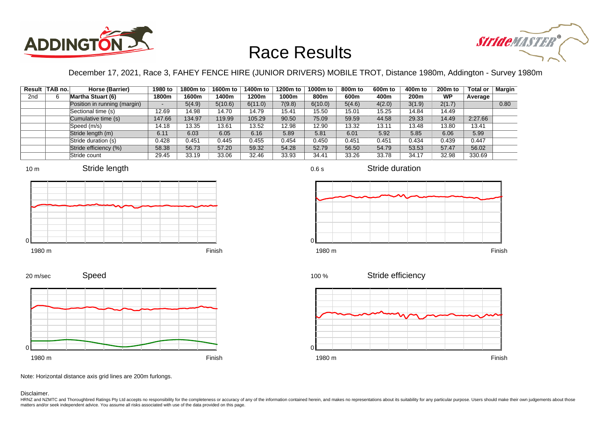



December 17, 2021, Race 3, FAHEY FENCE HIRE (JUNIOR DRIVERS) MOBILE TROT, Distance 1980m, Addington - Survey 1980m

|                 | Result   TAB no. | Horse (Barrier)              | 1980 to                  | 1800m to | 1600m to | 1400m to | 1200m to | 1000m to | 800m to | 600 <sub>m</sub> to | 400m to          | 200 <sub>m</sub> to | <b>Total or</b> | Margin |
|-----------------|------------------|------------------------------|--------------------------|----------|----------|----------|----------|----------|---------|---------------------|------------------|---------------------|-----------------|--------|
| 2 <sub>nd</sub> |                  | <b>Martha Stuart (6)</b>     | 1800m                    | 1600m    | 1400m    | 1200m    | 1000m    | 800m     | 600m    | 400m                | 200 <sub>m</sub> | <b>WP</b>           | Average         |        |
|                 |                  | Position in running (margin) | $\overline{\phantom{a}}$ | 5(4.9)   | 5(10.6)  | 6(11.0)  | 7(9.8)   | 6(10.0)  | 5(4.6)  | 4(2.0)              | 3(1.9)           | 2(1.7)              |                 | 0.80   |
|                 |                  | Sectional time (s)           | 12.69                    | 14.98    | 14.70    | 14.79    | 15.41    | 15.50    | 15.01   | 15.25               | 14.84            | 14.49               |                 |        |
|                 |                  | Cumulative time (s)          | 147.66                   | 134.97   | 119.99   | 105.29   | 90.50    | 75.09    | 59.59   | 44.58               | 29.33            | 14.49               | 2:27.66         |        |
|                 |                  | Speed (m/s)                  | 14.18                    | 13.35    | 13.61    | 13.52    | 12.98    | 12.90    | 13.32   | 13.11               | 13.48            | 13.80               | 13.41           |        |
|                 |                  | Stride length (m)            | 6.11                     | 6.03     | 6.05     | 6.16     | 5.89     | 5.81     | 6.01    | 5.92                | 5.85             | 6.06                | 5.99            |        |
|                 |                  | Stride duration (s)          | 0.428                    | 0.451    | 0.445    | 0.455    | 0.454    | 0.450    | 0.451   | 0.451               | 0.434            | 0.439               | 0.447           |        |
|                 |                  | Stride efficiency (%)        | 58.38                    | 56.73    | 57.20    | 59.32    | 54.28    | 52.79    | 56.50   | 54.79               | 53.53            | 57.47               | 56.02           |        |
|                 |                  | Stride count                 | 29.45                    | 33.19    | 33.06    | 32.46    | 33.93    | 34.41    | 33.26   | 33.78               | 34.17            | 32.98               | 330.69          |        |













Speed 20 m/sec



Note: Horizontal distance axis grid lines are 200m furlongs.

#### Disclaimer.

HRNZ and NZMTC and Thoroughbred Ratings Pty Ltd accepts no responsibility for the completeness or accuracy of any of the information contained herein, and makes no representations about its suitability for any particular p matters and/or seek independent advice. You assume all risks associated with use of the data provided on this page.

0.6 s

Stride duration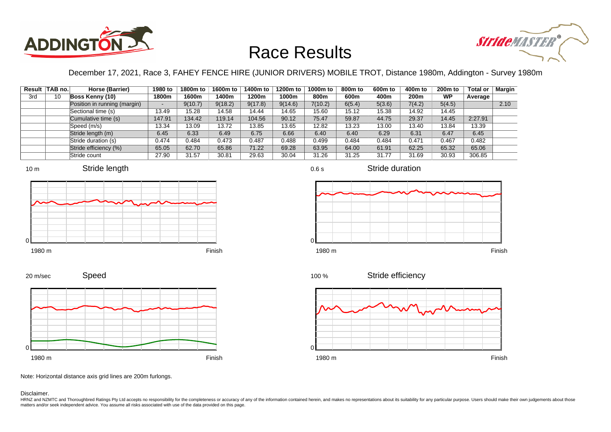



December 17, 2021, Race 3, FAHEY FENCE HIRE (JUNIOR DRIVERS) MOBILE TROT, Distance 1980m, Addington - Survey 1980m

|     | Result TAB no. | Horse (Barrier)              | 1980 to                  | 1800m to | 1600m to | 1400m to | 1200m to | 1000m to | 800m to | 600m to | 400m to | 200 <sub>m</sub> to | <b>Total or</b> | Margin |
|-----|----------------|------------------------------|--------------------------|----------|----------|----------|----------|----------|---------|---------|---------|---------------------|-----------------|--------|
| 3rd | 10             | Boss Kenny (10)              | 1800m                    | 1600m    | 1400m    | 1200m    | 1000m    | 800m     | 600m    | 400m    | 200m    | <b>WP</b>           | Average         |        |
|     |                | Position in running (margin) | $\overline{\phantom{0}}$ | 9(10.7)  | 9(18.2)  | 9(17.8)  | 9(14.6)  | 7(10.2)  | 6(5.4)  | 5(3.6)  | 7(4.2)  | 5(4.5)              |                 | 2.10   |
|     |                | Sectional time (s)           | 13.49                    | 15.28    | 14.58    | 14.44    | 14.65    | 15.60    | 15.12   | 15.38   | 14.92   | 14.45               |                 |        |
|     |                | Cumulative time (s)          | 147.91                   | 134.42   | 119.14   | 104.56   | 90.12    | 75.47    | 59.87   | 44.75   | 29.37   | 14.45               | 2:27.91         |        |
|     |                | Speed (m/s)                  | 13.34                    | 13.09    | 13.72    | 13.85    | 13.65    | 12.82    | 13.23   | 13.00   | 13.40   | 13.84               | 13.39           |        |
|     |                | Stride length (m)            | 6.45                     | 6.33     | 6.49     | 6.75     | 6.66     | 6.40     | 6.40    | 6.29    | 6.31    | 6.47                | 6.45            |        |
|     |                | Stride duration (s)          | 0.474                    | 0.484    | 0.473    | 0.487    | 0.488    | 0.499    | 0.484   | 0.484   | 0.471   | 0.467               | 0.482           |        |
|     |                | Stride efficiency (%)        | 65.05                    | 62.70    | 65.86    | 71.22    | 69.28    | 63.95    | 64.00   | 61.91   | 62.25   | 65.32               | 65.06           |        |
|     |                | Stride count                 | 27.90                    | 31.57    | 30.81    | 29.63    | 30.04    | 31.26    | 31.25   | 31.77   | 31.69   | 30.93               | 306.85          |        |















Note: Horizontal distance axis grid lines are 200m furlongs.

#### Disclaimer.

0

HRNZ and NZMTC and Thoroughbred Ratings Pty Ltd accepts no responsibility for the completeness or accuracy of any of the information contained herein, and makes no representations about its suitability for any particular p matters and/or seek independent advice. You assume all risks associated with use of the data provided on this page.

0.6 s

Stride duration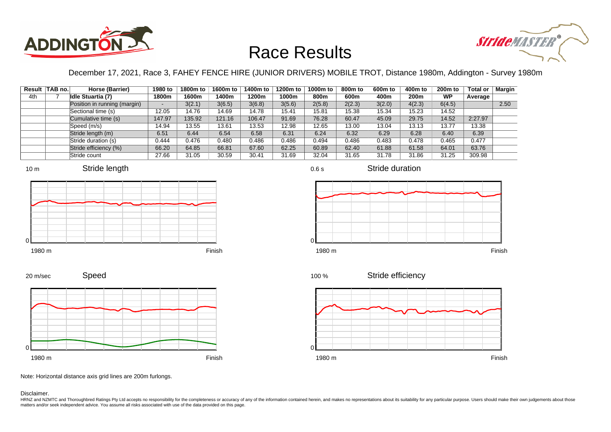



December 17, 2021, Race 3, FAHEY FENCE HIRE (JUNIOR DRIVERS) MOBILE TROT, Distance 1980m, Addington - Survey 1980m

|     | Result   TAB no. | Horse (Barrier)              | 1980 to                  | 1800m to | 1600m to | 1400m to | 1200m to | 1000m to | 800m to | 600 <sub>m</sub> to | 400m to          | 200 <sub>m</sub> to | <b>Total or</b> | Margin |
|-----|------------------|------------------------------|--------------------------|----------|----------|----------|----------|----------|---------|---------------------|------------------|---------------------|-----------------|--------|
| 4th |                  | <b>Idle Stuartia (7)</b>     | 1800m                    | 1600m    | 1400m    | 1200m    | 1000m    | 800m     | 600m    | 400m                | 200 <sub>m</sub> | <b>WP</b>           | Average         |        |
|     |                  | Position in running (margin) | $\overline{\phantom{a}}$ | 3(2.1)   | 3(6.5)   | 3(6.8)   | 3(5.6)   | 2(5.8)   | 2(2.3)  | 3(2.0)              | 4(2.3)           | 6(4.5)              |                 | 2.50   |
|     |                  | Sectional time (s)           | 12.05                    | 14.76    | 14.69    | 14.78    | 15.41    | 15.81    | 15.38   | 15.34               | 15.23            | 14.52               |                 |        |
|     |                  | Cumulative time (s)          | 147.97                   | 135.92   | 121.16   | 106.47   | 91.69    | 76.28    | 60.47   | 45.09               | 29.75            | 14.52               | 2:27.97         |        |
|     |                  | Speed (m/s)                  | 14.94                    | 13.55    | 13.61    | 13.53    | 12.98    | 12.65    | 13.00   | 13.04               | 13.13            | 13.77               | 13.38           |        |
|     |                  | Stride length (m)            | 6.51                     | 6.44     | 6.54     | 6.58     | 6.31     | 6.24     | 6.32    | 6.29                | 6.28             | 6.40                | 6.39            |        |
|     |                  | Stride duration (s)          | 0.444                    | 0.476    | 0.480    | 0.486    | 0.486    | 0.494    | 0.486   | 0.483               | 0.478            | 0.465               | 0.477           |        |
|     |                  | Stride efficiency (%)        | 66.20                    | 64.85    | 66.81    | 67.60    | 62.25    | 60.89    | 62.40   | 61.88               | 61.58            | 64.01               | 63.76           |        |
|     |                  | Stride count                 | 27.66                    | 31.05    | 30.59    | 30.41    | 31.69    | 32.04    | 31.65   | 31.78               | 31.86            | 31.25               | 309.98          |        |











0.6 s



Stride duration





Note: Horizontal distance axis grid lines are 200m furlongs.

Disclaimer.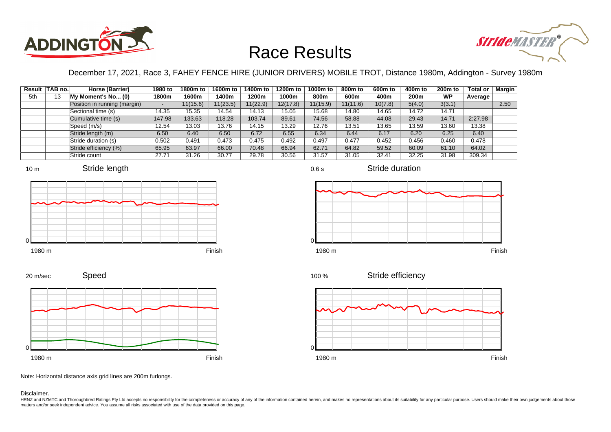



December 17, 2021, Race 3, FAHEY FENCE HIRE (JUNIOR DRIVERS) MOBILE TROT, Distance 1980m, Addington - Survey 1980m

| Result | TAB no. | Horse (Barrier)              | 1980 to                  | 1800m to | 1600m to | 1400m to | 1200m to | 1000m to | 800m to  | 600 <sub>m</sub> to | 400m to | 200 <sub>m</sub> to | <b>Total or</b> | Margin |
|--------|---------|------------------------------|--------------------------|----------|----------|----------|----------|----------|----------|---------------------|---------|---------------------|-----------------|--------|
| 5th    | 13      | My Moment's No (0)           | 1800m                    | 1600m    | 1400m    | 1200m    | 1000m    | 800m     | 600m     | 400m                | 200m    | <b>WP</b>           | Average         |        |
|        |         | Position in running (margin) | $\overline{\phantom{a}}$ | 11(15.6) | 11(23.5) | 11(22.9) | 12(17.8) | 11(15.9) | 11(11.6) | 10(7.8)             | 5(4.0)  | 3(3.1)              |                 | 2.50   |
|        |         | Sectional time (s)           | 14.35                    | 15.35    | 14.54    | 14.13    | 15.05    | 15.68    | 14.80    | 14.65               | 14.72   | 14.71               |                 |        |
|        |         | Cumulative time (s)          | 147.98                   | 133.63   | 118.28   | 103.74   | 89.61    | 74.56    | 58.88    | 44.08               | 29.43   | 14.71               | 2:27.98         |        |
|        |         | Speed (m/s)                  | 12.54                    | 13.03    | 13.76    | 14.15    | 13.29    | 12.76    | 13.51    | 13.65               | 13.59   | 13.60               | 13.38           |        |
|        |         | Stride length (m)            | 6.50                     | 6.40     | 6.50     | 6.72     | 6.55     | 6.34     | 6.44     | 6.17                | 6.20    | 6.25                | 6.40            |        |
|        |         | Stride duration (s)          | 0.502                    | 0.491    | 0.473    | 0.475    | 0.492    | 0.497    | 0.477    | 0.452               | 0.456   | 0.460               | 0.478           |        |
|        |         | Stride efficiency (%)        | 65.95                    | 63.97    | 66.00    | 70.48    | 66.94    | 62.71    | 64.82    | 59.52               | 60.09   | 61.10               | 64.02           |        |
|        |         | Stride count                 | 27.71                    | 31.26    | 30.77    | 29.78    | 30.56    | 31.57    | 31.05    | 32.41               | 32.25   | 31.98               | 309.34          |        |









Stride duration

Speed







Note: Horizontal distance axis grid lines are 200m furlongs.

#### Disclaimer.

20 m/sec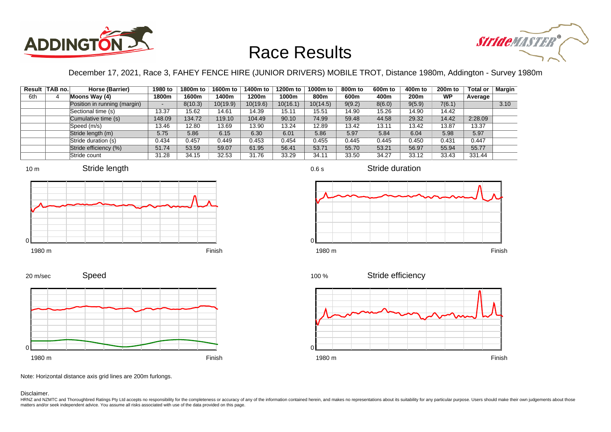



December 17, 2021, Race 3, FAHEY FENCE HIRE (JUNIOR DRIVERS) MOBILE TROT, Distance 1980m, Addington - Survey 1980m

0.6 s

|     | Result   TAB no. | Horse (Barrier)              | 1980 to | 1800m to | 1600m to | 1400m to | 1200m to | 1000m to | 800m to | 600m to | 400m to | 200 <sub>m</sub> to | <b>Total or</b> | Margin |
|-----|------------------|------------------------------|---------|----------|----------|----------|----------|----------|---------|---------|---------|---------------------|-----------------|--------|
| 6th |                  | Moons Way (4)                | 1800m   | 1600m    | 1400m    | 1200m    | 1000m    | 800m     | 600m    | 400m    | 200m    | <b>WP</b>           | Average         |        |
|     |                  | Position in running (margin) | $\sim$  | 8(10.3)  | 10(19.9) | 10(19.6) | 10(16.1) | 10(14.5) | 9(9.2)  | 8(6.0)  | 9(5.9)  | 7(6.1)              |                 | 3.10   |
|     |                  | Sectional time (s)           | 13.37   | 15.62    | 14.61    | 14.39    | 15.11    | 15.51    | 14.90   | 15.26   | 14.90   | 14.42               |                 |        |
|     |                  | Cumulative time (s)          | 148.09  | 134.72   | 119.10   | 104.49   | 90.10    | 74.99    | 59.48   | 44.58   | 29.32   | 14.42               | 2:28.09         |        |
|     |                  | Speed (m/s)                  | 13.46   | 12.80    | 13.69    | 13.90    | 13.24    | 12.89    | 13.42   | 13.11   | 13.42   | 13.87               | 13.37           |        |
|     |                  | Stride length (m)            | 5.75    | 5.86     | 6.15     | 6.30     | 6.01     | 5.86     | 5.97    | 5.84    | 6.04    | 5.98                | 5.97            |        |
|     |                  | Stride duration (s)          | 0.434   | 0.457    | 0.449    | 0.453    | 0.454    | 0.455    | 0.445   | 0.445   | 0.450   | 0.431               | 0.447           |        |
|     |                  | Stride efficiency (%)        | 51.74   | 53.59    | 59.07    | 61.95    | 56.41    | 53.71    | 55.70   | 53.21   | 56.97   | 55.94               | 55.77           |        |
|     |                  | Stride count                 | 31.28   | 34.15    | 32.53    | 31.76    | 33.29    | 34.11    | 33.50   | 34.27   | 33.12   | 33.43               | 331.44          |        |











Stride duration











Note: Horizontal distance axis grid lines are 200m furlongs.

#### Disclaimer.

20 m/sec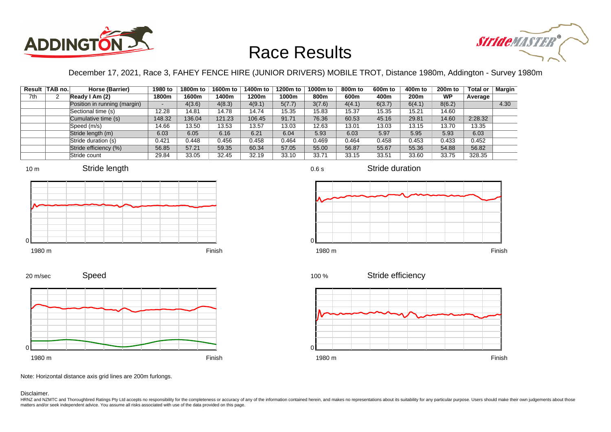



December 17, 2021, Race 3, FAHEY FENCE HIRE (JUNIOR DRIVERS) MOBILE TROT, Distance 1980m, Addington - Survey 1980m

|     | Result TAB no. | Horse (Barrier)              | 1980 to                  | 1800m to | 1600m to | 1400m to | 1200m to | 1000m to | 800m to | 600 <sub>m</sub> to | 400m to | 200 <sub>m</sub> to | <b>Total or</b> | Margin |
|-----|----------------|------------------------------|--------------------------|----------|----------|----------|----------|----------|---------|---------------------|---------|---------------------|-----------------|--------|
| 7th |                | Ready I Am (2)               | 1800m                    | 1600m    | 1400m    | 1200m    | 1000m    | 800m     | 600m    | 400m                | 200m    | <b>WP</b>           | Average         |        |
|     |                | Position in running (margin) | $\overline{\phantom{a}}$ | 4(3.6)   | 4(8.3)   | 4(9.1)   | 5(7.7)   | 3(7.6)   | 4(4.1)  | 6(3.7)              | 6(4.1)  | 8(6.2)              |                 | 4.30   |
|     |                | Sectional time (s)           | 12.28                    | 14.81    | 14.78    | 14.74    | 15.35    | 15.83    | 15.37   | 15.35               | 15.21   | 14.60               |                 |        |
|     |                | Cumulative time (s)          | 148.32                   | 136.04   | 121.23   | 106.45   | 91.71    | 76.36    | 60.53   | 45.16               | 29.81   | 14.60               | 2:28.32         |        |
|     |                | Speed (m/s)                  | 14.66                    | 13.50    | 13.53    | 13.57    | 13.03    | 12.63    | 13.01   | 13.03               | 13.15   | 13.70               | 13.35           |        |
|     |                | Stride length (m)            | 6.03                     | 6.05     | 6.16     | 6.21     | 6.04     | 5.93     | 6.03    | 5.97                | 5.95    | 5.93                | 6.03            |        |
|     |                | Stride duration (s)          | 0.421                    | 0.448    | 0.456    | 0.458    | 0.464    | 0.469    | 0.464   | 0.458               | 0.453   | 0.433               | 0.452           |        |
|     |                | Stride efficiency (%)        | 56.85                    | 57.21    | 59.35    | 60.34    | 57.05    | 55.00    | 56.87   | 55.67               | 55.36   | 54.88               | 56.82           |        |
|     |                | Stride count                 | 29.84                    | 33.05    | 32.45    | 32.19    | 33.10    | 33.71    | 33.15   | 33.51               | 33.60   | 33.75               | 328.35          |        |









#### 1980 m Finish

0.6 s

Stride duration



Stride efficiency 100 %



Note: Horizontal distance axis grid lines are 200m furlongs.

#### Disclaimer.

0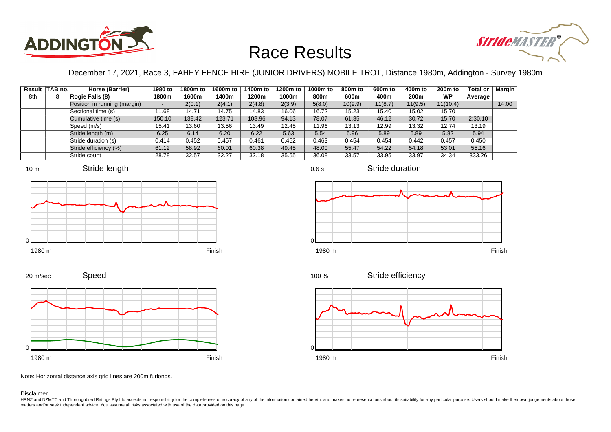



December 17, 2021, Race 3, FAHEY FENCE HIRE (JUNIOR DRIVERS) MOBILE TROT, Distance 1980m, Addington - Survey 1980m

|     | Result TAB no. | Horse (Barrier)              | 1980 to                  | 1800m to | 1600m to | 1400m to | 1200m to | 1000m to | 800m to | 600 <sub>m</sub> to | 400m to | 200 <sub>m</sub> to | <b>Total or</b> | Margin |
|-----|----------------|------------------------------|--------------------------|----------|----------|----------|----------|----------|---------|---------------------|---------|---------------------|-----------------|--------|
| 8th |                | Rogie Falls (8)              | 1800m                    | 1600m    | 1400m    | 1200m    | 1000m    | 800m     | 600m    | 400m                | 200m    | <b>WP</b>           | Average         |        |
|     |                | Position in running (margin) | $\overline{\phantom{a}}$ | 2(0.1)   | 2(4.1)   | 2(4.8)   | 2(3.9)   | 5(8.0)   | 10(9.9) | 11(8.7)             | 11(9.5) | 11(10.4)            |                 | 14.00  |
|     |                | Sectional time (s)           | '1.68                    | 14.71    | 14.75    | 14.83    | 16.06    | 16.72    | 15.23   | 15.40               | 15.02   | 15.70               |                 |        |
|     |                | Cumulative time (s)          | 150.10                   | 138.42   | 123.71   | 108.96   | 94.13    | 78.07    | 61.35   | 46.12               | 30.72   | 15.70               | 2:30.10         |        |
|     |                | Speed (m/s)                  | 15.41                    | 13.60    | 13.56    | 13.49    | 12.45    | 11.96    | 13.13   | 12.99               | 13.32   | 12.74               | 13.19           |        |
|     |                | Stride length (m)            | 6.25                     | 6.14     | 6.20     | 6.22     | 5.63     | 5.54     | 5.96    | 5.89                | 5.89    | 5.82                | 5.94            |        |
|     |                | Stride duration (s)          | 0.414                    | 0.452    | 0.457    | 0.461    | 0.452    | 0.463    | 0.454   | 0.454               | 0.442   | 0.457               | 0.450           |        |
|     |                | Stride efficiency (%)        | 61.12                    | 58.92    | 60.01    | 60.38    | 49.45    | 48.00    | 55.47   | 54.22               | 54.18   | 53.01               | 55.16           |        |
|     |                | Stride count                 | 28.78                    | 32.57    | 32.27    | 32.18    | 35.55    | 36.08    | 33.57   | 33.95               | 33.97   | 34.34               | 333.26          |        |









Stride duration









Note: Horizontal distance axis grid lines are 200m furlongs.

Disclaimer.

HRNZ and NZMTC and Thoroughbred Ratings Pty Ltd accepts no responsibility for the completeness or accuracy of any of the information contained herein, and makes no representations about its suitability for any particular p matters and/or seek independent advice. You assume all risks associated with use of the data provided on this page.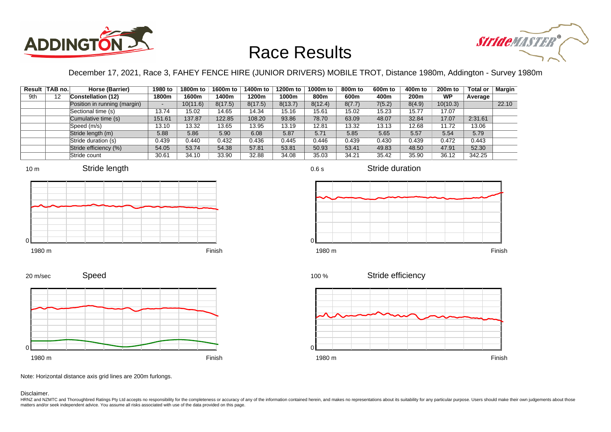



December 17, 2021, Race 3, FAHEY FENCE HIRE (JUNIOR DRIVERS) MOBILE TROT, Distance 1980m, Addington - Survey 1980m

|     | Result TAB no. | Horse (Barrier)              | 1980 to | 1800m to | 1600m to | 1400m to | 1200m to | 1000m to | 800m to | 600 <sub>m</sub> to | 400m to | 200 <sub>m</sub> to | <b>Total or</b> | Margin |
|-----|----------------|------------------------------|---------|----------|----------|----------|----------|----------|---------|---------------------|---------|---------------------|-----------------|--------|
| 9th | 12             | <b>Constellation (12)</b>    | 1800m   | 1600m    | 1400m    | 1200m    | 1000m    | 800m     | 600m    | 400m                | 200m    | <b>WP</b>           | Average         |        |
|     |                | Position in running (margin) | $\sim$  | 10(11.6) | 8(17.5)  | 8(17.5)  | 8(13.7)  | 8(12.4)  | 8(7.7)  | 7(5.2)              | 8(4.9)  | 10(10.3)            |                 | 22.10  |
|     |                | Sectional time (s)           | 13.74   | 15.02    | 14.65    | 14.34    | 15.16    | 15.61    | 15.02   | 15.23               | 15.77   | 17.07               |                 |        |
|     |                | Cumulative time (s)          | 151.61  | 137.87   | 122.85   | 108.20   | 93.86    | 78.70    | 63.09   | 48.07               | 32.84   | 17.07               | 2:31.61         |        |
|     |                | Speed (m/s)                  | 13.10   | 13.32    | 13.65    | 13.95    | 13.19    | 12.81    | 13.32   | 13.13               | 12.68   | 11.72               | 13.06           |        |
|     |                | Stride length (m)            | 5.88    | 5.86     | 5.90     | 6.08     | 5.87     | 5.71     | 5.85    | 5.65                | 5.57    | 5.54                | 5.79            |        |
|     |                | Stride duration (s)          | 0.439   | 0.440    | 0.432    | 0.436    | 0.445    | 0.446    | 0.439   | 0.430               | 0.439   | 0.472               | 0.443           |        |
|     |                | Stride efficiency (%)        | 54.05   | 53.74    | 54.38    | 57.81    | 53.81    | 50.93    | 53.41   | 49.83               | 48.50   | 47.91               | 52.30           |        |
|     |                | Stride count                 | 30.61   | 34.10    | 33.90    | 32.88    | 34.08    | 35.03    | 34.21   | 35.42               | 35.90   | 36.12               | 342.25          |        |











Stride duration



Stride efficiency 100 %



Note: Horizontal distance axis grid lines are 200m furlongs.

#### Disclaimer.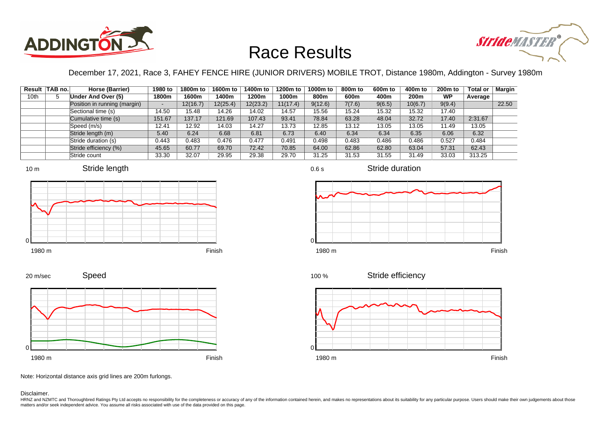



December 17, 2021, Race 3, FAHEY FENCE HIRE (JUNIOR DRIVERS) MOBILE TROT, Distance 1980m, Addington - Survey 1980m

|      | Result TAB no. | Horse (Barrier)              | 1980 to                  | 1800m to | 1600m to | 1400m to | 1200m to | 1000m to | 800m to | 600 <sub>m</sub> to | 400m to          | 200 <sub>m</sub> to | <b>Total or</b> | Margin |
|------|----------------|------------------------------|--------------------------|----------|----------|----------|----------|----------|---------|---------------------|------------------|---------------------|-----------------|--------|
| 10th |                | Under And Over (5)           | 1800m                    | 1600m    | 1400m    | 1200m    | 1000m    | 800m     | 600m    | 400m                | 200 <sub>m</sub> | <b>WP</b>           | Average         |        |
|      |                | Position in running (margin) | $\overline{\phantom{a}}$ | 12(16.7) | 12(25.4) | 12(23.2) | 11(17.4) | 9(12.6)  | 7(7.6)  | 9(6.5)              | 10(6.7)          | 9(9.4)              |                 | 22.50  |
|      |                | Sectional time (s)           | 14.50                    | 15.48    | 14.26    | 14.02    | 14.57    | 15.56    | 15.24   | 15.32               | 15.32            | 17.40               |                 |        |
|      |                | Cumulative time (s)          | 151.67                   | 137.17   | 121.69   | 107.43   | 93.41    | 78.84    | 63.28   | 48.04               | 32.72            | 17.40               | 2:31.67         |        |
|      |                | Speed (m/s)                  | 12.41                    | 12.92    | 14.03    | 14.27    | 13.73    | 12.85    | 13.12   | 13.05               | 13.05            | 11.49               | 13.05           |        |
|      |                | Stride length (m)            | 5.40                     | 6.24     | 6.68     | 6.81     | 6.73     | 6.40     | 6.34    | 6.34                | 6.35             | 6.06                | 6.32            |        |
|      |                | Stride duration (s)          | 0.443                    | 0.483    | 0.476    | 0.477    | 0.491    | 0.498    | 0.483   | 0.486               | 0.486            | 0.527               | 0.484           |        |
|      |                | Stride efficiency (%)        | 45.65                    | 60.77    | 69.70    | 72.42    | 70.85    | 64.00    | 62.86   | 62.80               | 63.04            | 57.31               | 62.43           |        |
|      |                | Stride count                 | 33.30                    | 32.07    | 29.95    | 29.38    | 29.70    | 31.25    | 31.53   | 31.55               | 31.49            | 33.03               | 313.25          |        |







Stride duration









Note: Horizontal distance axis grid lines are 200m furlongs.

Disclaimer.

HRNZ and NZMTC and Thoroughbred Ratings Pty Ltd accepts no responsibility for the completeness or accuracy of any of the information contained herein, and makes no representations about its suitability for any particular p matters and/or seek independent advice. You assume all risks associated with use of the data provided on this page.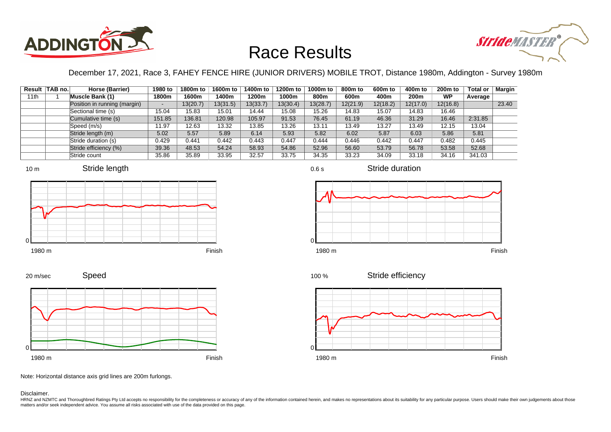



December 17, 2021, Race 3, FAHEY FENCE HIRE (JUNIOR DRIVERS) MOBILE TROT, Distance 1980m, Addington - Survey 1980m

|      | Result TAB no. | Horse (Barrier)              | 1980 to | 1800m to | 1600m to | 1400m to | 1200m to | 1000m to | 800m to  | 600 <sub>m</sub> to | 400m to  | 200 <sub>m</sub> to | <b>Total or</b> | Margin |
|------|----------------|------------------------------|---------|----------|----------|----------|----------|----------|----------|---------------------|----------|---------------------|-----------------|--------|
| 11th |                | <b>Muscle Bank (1)</b>       | 1800m   | 1600m    | 1400m    | 1200m    | 1000m    | 800m     | 600m     | 400m                | 200m     | <b>WP</b>           | Average         |        |
|      |                | Position in running (margin) |         | 13(20.7) | 13(31.5) | 13(33.7) | 13(30.4) | 13(28.7) | 12(21.9) | 12(18.2)            | 12(17.0) | 12(16.8)            |                 | 23.40  |
|      |                | Sectional time (s)           | 15.04   | 15.83    | 15.01    | 14.44    | 15.08    | 15.26    | 14.83    | 15.07               | 14.83    | 16.46               |                 |        |
|      |                | Cumulative time (s)          | 151.85  | 136.81   | 120.98   | 105.97   | 91.53    | 76.45    | 61.19    | 46.36               | 31.29    | 16.46               | 2:31.85         |        |
|      |                | Speed (m/s)                  | 11.97   | 12.63    | 13.32    | 13.85    | 13.26    | 13.11    | 13.49    | 13.27               | 13.49    | 12.15               | 13.04           |        |
|      |                | Stride length (m)            | 5.02    | 5.57     | 5.89     | 6.14     | 5.93     | 5.82     | 6.02     | 5.87                | 6.03     | 5.86                | 5.81            |        |
|      |                | Stride duration (s)          | 0.429   | 0.441    | 0.442    | 0.443    | 0.447    | 0.444    | 0.446    | 0.442               | 0.447    | 0.482               | 0.445           |        |
|      |                | Stride efficiency (%)        | 39.36   | 48.53    | 54.24    | 58.93    | 54.86    | 52.96    | 56.60    | 53.79               | 56.78    | 53.58               | 52.68           |        |
|      |                | Stride count                 | 35.86   | 35.89    | 33.95    | 32.57    | 33.75    | 34.35    | 33.23    | 34.09               | 33.18    | 34.16               | 341.03          |        |











1980 m Finish

Stride efficiency 100 %



Note: Horizontal distance axis grid lines are 200m furlongs.

#### Disclaimer.

0

HRNZ and NZMTC and Thoroughbred Ratings Pty Ltd accepts no responsibility for the completeness or accuracy of any of the information contained herein, and makes no representations about its suitability for any particular p matters and/or seek independent advice. You assume all risks associated with use of the data provided on this page.

0.6 s

Stride duration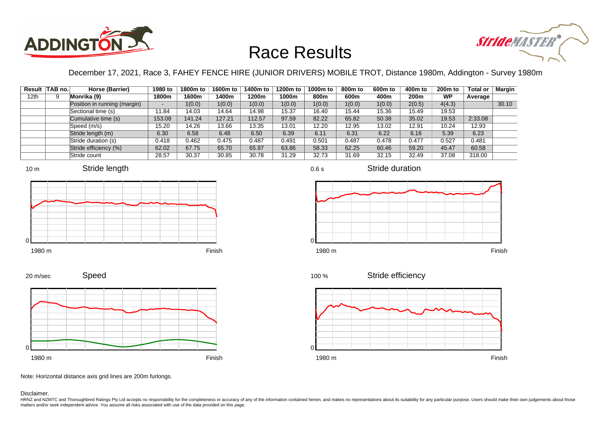



December 17, 2021, Race 3, FAHEY FENCE HIRE (JUNIOR DRIVERS) MOBILE TROT, Distance 1980m, Addington - Survey 1980m

|                  | Result   TAB no. | Horse (Barrier)              | 1980 to                  | 1800m to | 1600m to | 1400m to | 1200m to | 1000m to | 800m to | 600 <sub>m</sub> to | 400m to          | 200 <sub>m</sub> to | <b>Total or</b> | Margin |
|------------------|------------------|------------------------------|--------------------------|----------|----------|----------|----------|----------|---------|---------------------|------------------|---------------------|-----------------|--------|
| 12 <sub>th</sub> |                  | Monrika (9)                  | 1800m                    | 1600m    | 1400m    | 1200m    | 1000m    | 800m     | 600m    | 400m                | 200 <sub>m</sub> | <b>WP</b>           | Average         |        |
|                  |                  | Position in running (margin) | $\overline{\phantom{a}}$ | 1(0.0)   | 1(0.0)   | 1(0.0)   | 1(0.0)   | 1(0.0)   | 1(0.0)  | 1(0.0)              | 2(0.5)           | 4(4.3)              |                 | 30.10  |
|                  |                  | Sectional time (s)           | 11.84                    | 14.03    | 14.64    | 14.98    | 15.37    | 16.40    | 15.44   | 15.36               | 15.49            | 19.53               |                 |        |
|                  |                  | Cumulative time (s)          | 153.08                   | 141.24   | 127.21   | 112.57   | 97.59    | 82.22    | 65.82   | 50.38               | 35.02            | 19.53               | 2:33.08         |        |
|                  |                  | Speed (m/s)                  | 15.20                    | 14.26    | 13.66    | 13.35    | 13.01    | 12.20    | 12.95   | 13.02               | 12.91            | 10.24               | 12.93           |        |
|                  |                  | Stride length (m)            | 6.30                     | 6.58     | 6.48     | 6.50     | 6.39     | 6.11     | 6.31    | 6.22                | 6.16             | 5.39                | 6.23            |        |
|                  |                  | Stride duration (s)          | 0.418                    | 0.462    | 0.475    | 0.487    | 0.491    | 0.501    | 0.487   | 0.478               | 0.477            | 0.527               | 0.481           |        |
|                  |                  | Stride efficiency (%)        | 62.02                    | 67.75    | 65.70    | 65.97    | 63.86    | 58.33    | 62.25   | 60.46               | 59.20            | 45.47               | 60.58           |        |
|                  |                  | Stride count                 | 28.57                    | 30.37    | 30.85    | 30.78    | 31.29    | 32.73    | 31.69   | 32.15               | 32.49            | 37.08               | 318.00          |        |













Stride duration

Speed 20 m/sec



Note: Horizontal distance axis grid lines are 200m furlongs.

Disclaimer.

HRNZ and NZMTC and Thoroughbred Ratings Pty Ltd accepts no responsibility for the completeness or accuracy of any of the information contained herein, and makes no representations about its suitability for any particular p matters and/or seek independent advice. You assume all risks associated with use of the data provided on this page.